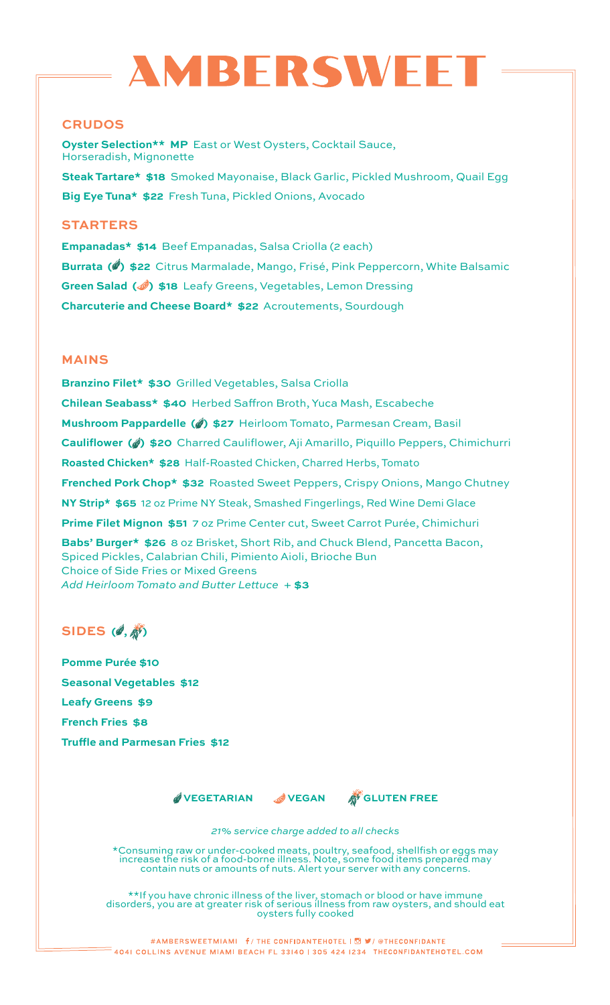# **MBERSWE**

# **CRUDOS**

**Oyster Selection\*\* MP** East or West Oysters, Cocktail Sauce, Horseradish, Mignonette **Steak Tartare\* \$18** Smoked Mayonaise, Black Garlic, Pickled Mushroom, Quail Egg **Big Eye Tuna\* \$22** Fresh Tuna, Pickled Onions, Avocado

# **STARTERS**

**Empanadas\* \$14** Beef Empanadas, Salsa Criolla (2 each) **Burrata (4) \$22** Citrus Marmalade, Mango, Frisé, Pink Peppercorn, White Balsamic **Green Salad ( ) \$18** Leafy Greens, Vegetables, Lemon Dressing **Charcuterie and Cheese Board\* \$22** Acroutements, Sourdough

# **MAINS**

**Branzino Filet\* \$30** Grilled Vegetables, Salsa Criolla **Chilean Seabass\* \$40** Herbed Saffron Broth, Yuca Mash, Escabeche **Mushroom Pappardelle (4) \$27** Heirloom Tomato, Parmesan Cream, Basil **Cauliflower ( ) \$20** Charred Cauliflower, Aji Amarillo, Piquillo Peppers, Chimichurri **Roasted Chicken\* \$28** Half-Roasted Chicken, Charred Herbs, Tomato **Frenched Pork Chop\* \$32** Roasted Sweet Peppers, Crispy Onions, Mango Chutney **NY Strip\* \$65** 12 oz Prime NY Steak, Smashed Fingerlings, Red Wine Demi Glace **Prime Filet Mignon \$51** 7 oz Prime Center cut, Sweet Carrot Purée, Chimichuri **Babs' Burger\* \$26** 8 oz Brisket, Short Rib, and Chuck Blend, Pancetta Bacon, Spiced Pickles, Calabrian Chili, Pimiento Aioli, Brioche Bun Choice of Side Fries or Mixed Greens *Add Heirloom Tomato and Butter Lettuce +* **\$3**

# **SIDES** (*0*,  $\hat{\phi}$ )

**Pomme Purée \$10 Seasonal Vegetables \$12 Leafy Greens \$9 French Fries \$8 Truffle and Parmesan Fries \$12**

 **VEGETARIAN VEGAN GLUTEN FREE**



*21% service charge added to all checks*

\*Consuming raw or under-cooked meats, poultry, seafood, shellfish or eggs may increase the risk of a food-borne illness. Note, some food items prepared may contain nuts or amounts of nuts. Alert your server with any concerns.

\*\*If you have chronic illness of the liver, stomach or blood or have immune disorders, you are at greater risk of serious illness from raw oysters, and should eat oysters fully cooked